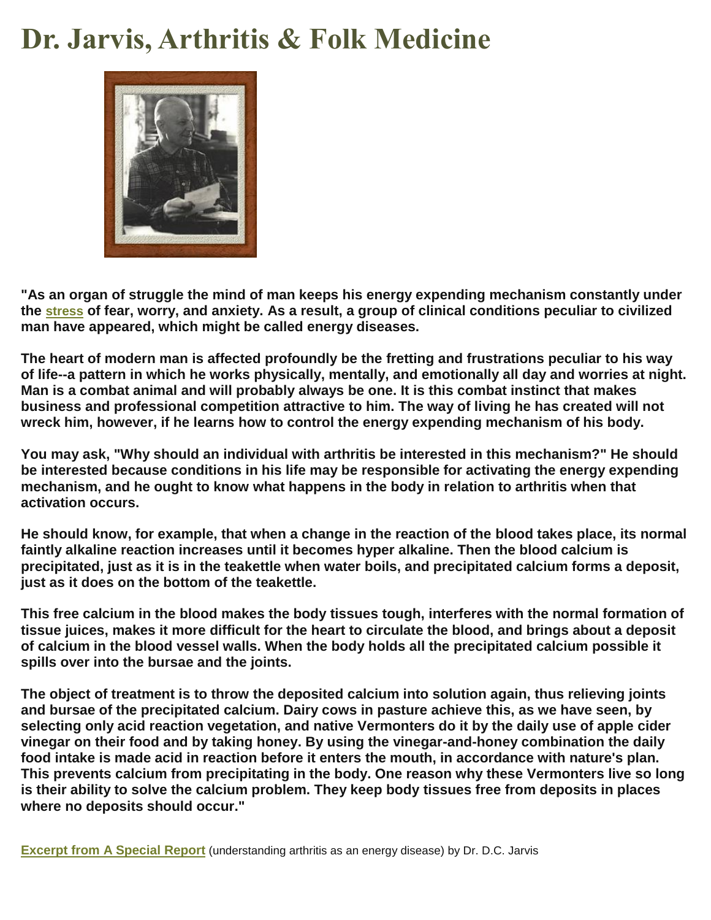# **Dr. Jarvis, Arthritis & Folk Medicine**



**"As an organ of struggle the mind of man keeps his energy expending mechanism constantly under the [stress](http://www.jcrows.com/iodine.html) of fear, worry, and anxiety. As a result, a group of clinical conditions peculiar to civilized man have appeared, which might be called energy diseases.**

**The heart of modern man is affected profoundly be the fretting and frustrations peculiar to his way of life--a pattern in which he works physically, mentally, and emotionally all day and worries at night. Man is a combat animal and will probably always be one. It is this combat instinct that makes business and professional competition attractive to him. The way of living he has created will not wreck him, however, if he learns how to control the energy expending mechanism of his body.**

**You may ask, "Why should an individual with arthritis be interested in this mechanism?" He should be interested because conditions in his life may be responsible for activating the energy expending mechanism, and he ought to know what happens in the body in relation to arthritis when that activation occurs.**

**He should know, for example, that when a change in the reaction of the blood takes place, its normal faintly alkaline reaction increases until it becomes hyper alkaline. Then the blood calcium is precipitated, just as it is in the teakettle when water boils, and precipitated calcium forms a deposit, just as it does on the bottom of the teakettle.**

**This free calcium in the blood makes the body tissues tough, interferes with the normal formation of tissue juices, makes it more difficult for the heart to circulate the blood, and brings about a deposit of calcium in the blood vessel walls. When the body holds all the precipitated calcium possible it spills over into the bursae and the joints.**

**The object of treatment is to throw the deposited calcium into solution again, thus relieving joints and bursae of the precipitated calcium. Dairy cows in pasture achieve this, as we have seen, by selecting only acid reaction vegetation, and native Vermonters do it by the daily use of apple cider vinegar on their food and by taking honey. By using the vinegar-and-honey combination the daily food intake is made acid in reaction before it enters the mouth, in accordance with nature's plan. This prevents calcium from precipitating in the body. One reason why these Vermonters live so long is their ability to solve the calcium problem. They keep body tissues free from deposits in places where no deposits should occur.["](http://www.jcrowsmarketplace.com/specialreportarthritisanenergydisease-bydrdcjarvismd.aspx)**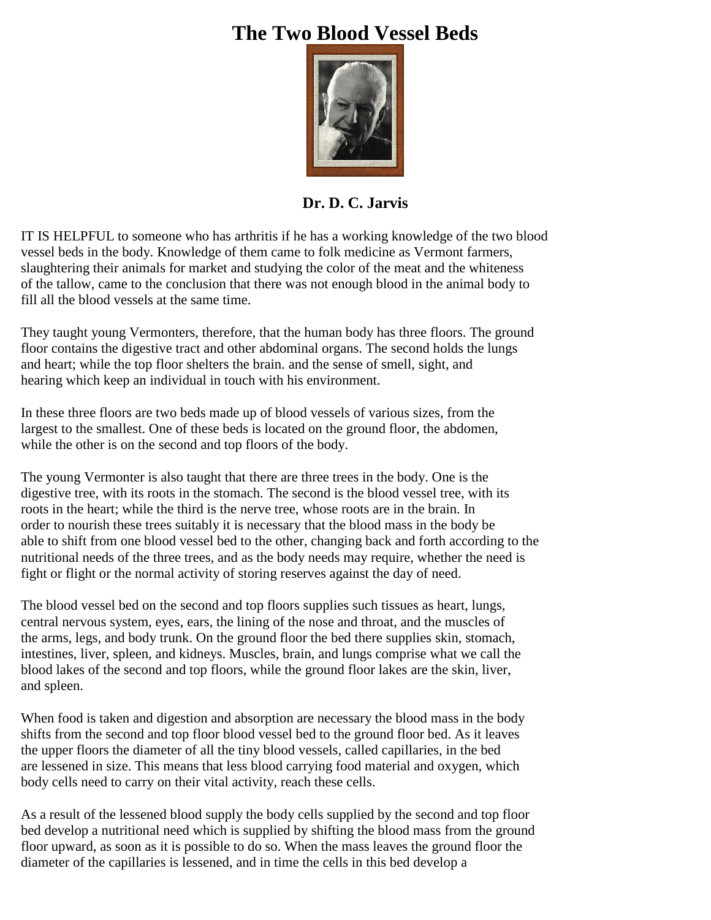## **The Tw[o Blood Ves](http://www.jcrowsmarketplace.com/drjarvisarthritisandfolkmedicine.aspx)sel Beds**



**Dr. D. C. Jarvis**

IT IS HELPFUL to someone who has arthritis if he has a working knowledge of the two blood vessel beds in the body. Knowledge of them came to folk medicine as Vermont farmers, slaughtering their animals for market and studying the color of the meat and the whiteness of the tallow, came to the conclusion that there was not enough blood in the animal body to fill all the blood vessels at the same time.

They taught young Vermonters, therefore, that the human body has three floors. The ground floor contains the digestive tract and other abdominal organs. The second holds the lungs and heart; while the top floor shelters the brain. and the sense of smell, sight, and hearing which keep an individual in touch with his environment.

In these three floors are two beds made up of blood vessels of various sizes, from the largest to the smallest. One of these beds is located on the ground floor, the abdomen, while the other is on the second and top floors of the body.

The young Vermonter is also taught that there are three trees in the body. One is the digestive tree, with its roots in the stomach. The second is the blood vessel tree, with its roots in the heart; while the third is the nerve tree, whose roots are in the brain. In order to nourish these trees suitably it is necessary that the blood mass in the body be able to shift from one blood vessel bed to the other, changing back and forth according to the nutritional needs of the three trees, and as the body needs may require, whether the need is fight or flight or the normal activity of storing reserves against the day of need.

The blood vessel bed on the second and top floors supplies such tissues as heart, lungs, central nervous system, eyes, ears, the lining of the nose and throat, and the muscles of the arms, legs, and body trunk. On the ground floor the bed there supplies skin, stomach, intestines, liver, spleen, and kidneys. Muscles, brain, and lungs comprise what we call the blood lakes of the second and top floors, while the ground floor lakes are the skin, liver, and spleen.

When food is taken and digestion and absorption are necessary the blood mass in the body shifts from the second and top floor blood vessel bed to the ground floor bed. As it leaves the upper floors the diameter of all the tiny blood vessels, called capillaries, in the bed are lessened in size. This means that less blood carrying food material and oxygen, which body cells need to carry on their vital activity, reach these cells.

As a result of the lessened blood supply the body cells supplied by the second and top floor bed develop a nutritional need which is supplied by shifting the blood mass from the ground floor upward, as soon as it is possible to do so. When the mass leaves the ground floor the diameter of the capillaries is lessened, and in time the cells in this bed develop a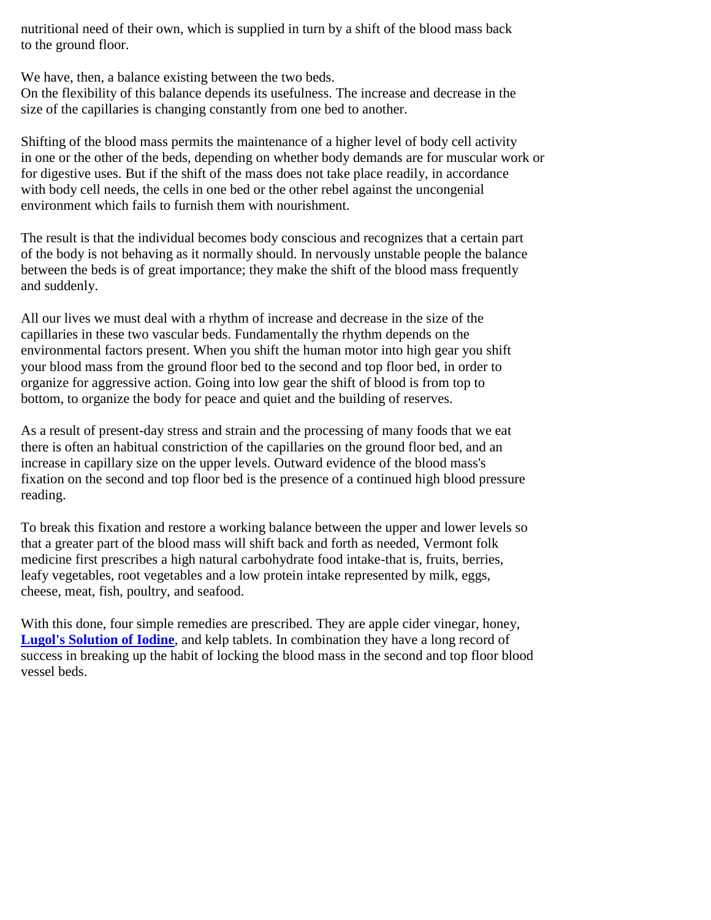nutritional need of their own, which is supplied in turn by a shift of the blood mass back to the ground floor.

We have, then, a balance existing between the two beds.

On the flexibility of this balance depends its usefulness. The increase and decrease in the size of the capillaries is changing constantly from one bed to another.

Shifting of the blood mass permits the maintenance of a higher level of body cell activity in one or the other of the beds, depending on whether body demands are for muscular work or for digestive uses. But if the shift of the mass does not take place readily, in accordance with body cell needs, the cells in one bed or the other rebel against the uncongenial environment which fails to furnish them with nourishment.

The result is that the individual becomes body conscious and recognizes that a certain part of the body is not behaving as it normally should. In nervously unstable people the balance between the beds is of great importance; they make the shift of the blood mass frequently and suddenly.

All our lives we must deal with a rhythm of increase and decrease in the size of the capillaries in these two vascular beds. Fundamentally the rhythm depends on the environmental factors present. When you shift the human motor into high gear you shift your blood mass from the ground floor bed to the second and top floor bed, in order to organize for aggressive action. Going into low gear the shift of blood is from top to bottom, to organize the body for peace and quiet and the building of reserves.

As a result of present-day stress and strain and the processing of many foods that we eat there is often an habitual constriction of the capillaries on the ground floor bed, and an increase in capillary size on the upper levels. Outward evidence of the blood mass's fixation on the second and top floor bed is the presence of a continued high blood pressure reading.

To break this fixation and restore a working balance between the upper and lower levels so that a greater part of the blood mass will shift back and forth as needed, Vermont folk medicine first prescribes a high natural carbohydrate food intake-that is, fruits, berries, leafy vegetables, root vegetables and a low protein intake represented by milk, eggs, cheese, meat, fish, poultry, and seafood.

With this done, four simple remedies are prescribed. They are apple cider vinegar, honey, **[Lugol's Solution of Iodine](http://www.jcrows.com/iodine.html)**, and kelp tablets. In combination they have a long record of success in breaking up the habit of locking the blood mass in the second and top floor blood vessel beds.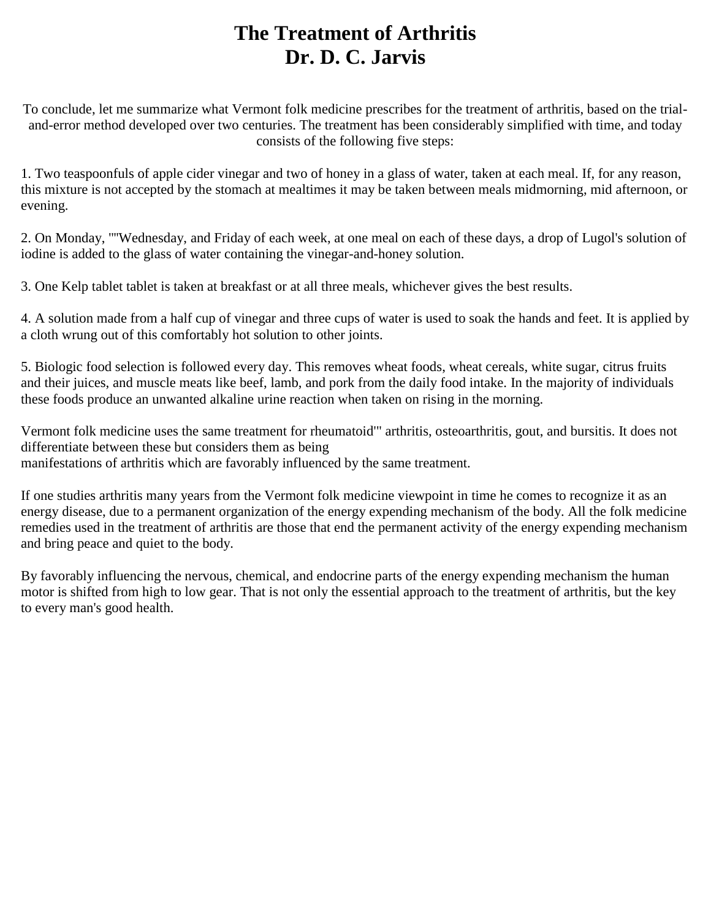### **The Treatment of Arthritis Dr. D. C. Jarvis**

To conclude, let me summarize what Vermont folk medicine prescribes for the treatment of arthritis, based on the trialand-error method developed over two centuries. The treatment has been considerably simplified with time, and today consists of the following five steps:

1. Two teaspoonfuls of apple cider vinegar and two of honey in a glass of water, taken at each meal. If, for any reason, this mixture is not accepted by the stomach at mealtimes it may be taken between meals midmorning, mid afternoon, or evening.

2. On Monday, ''''Wednesday, and Friday of each week, at one meal on each of these days, a drop of Lugol's solution of iodine is added to the glass of water containing the vinegar-and-honey solution.

3. One Kelp tablet tablet is taken at breakfast or at all three meals, whichever gives the best results.

4. A solution made from a half cup of vinegar and three cups of water is used to soak the hands and feet. It is applied by a cloth wrung out of this comfortably hot solution to other joints.

5. Biologic food selection is followed every day. This removes wheat foods, wheat cereals, white sugar, citrus fruits and their juices, and muscle meats like beef, lamb, and pork from the daily food intake. In the majority of individuals these foods produce an unwanted alkaline urine reaction when taken on rising in the morning.

Vermont folk medicine uses the same treatment for rheumatoid'" arthritis, osteoarthritis, gout, and bursitis. It does not differentiate between these but considers them as being manifestations of arthritis which are favorably influenced by the same treatment.

If one studies arthritis many years from the Vermont folk medicine viewpoint in time he comes to recognize it as an energy disease, due to a permanent organization of the energy expending mechanism of the body. All the folk medicine remedies used in the treatment of arthritis are those that end the permanent activity of the energy expending mechanism and bring peace and quiet to the body.

By favorably influencing the nervous, chemical, and endocrine parts of the energy expending mechanism the human motor is shifted from high to low gear. That is not only the essential approach to the treatment of arthritis, but the key to every man's good health.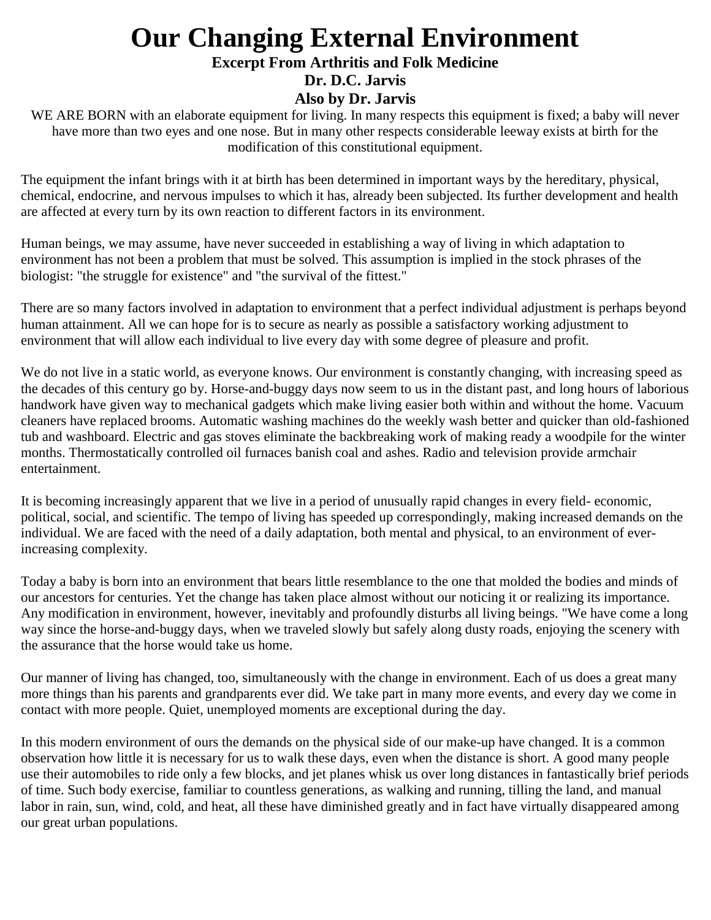## **Our Changing External Environment**

### **Excerpt From Arthritis and Folk Medicine**

**Dr. D.C. Jarvis**

#### **Also by Dr. Jarvis**

WE ARE BORN with an elaborate equipment for living. In many respects this equipment is fixed; a baby will never have more than two eyes and one nose. But in many other respects considerable leeway exists at birth for the modification of this constitutional equipment.

The equipment the infant brings with it at birth has been determined in important ways by the hereditary, physical, chemical, endocrine, and nervous impulses to which it has, already been subjected. Its further development and health are affected at every turn by its own reaction to different factors in its environment.

Human beings, we may assume, have never succeeded in establishing a way of living in which adaptation to environment has not been a problem that must be solved. This assumption is implied in the stock phrases of the biologist: "the struggle for existence" and "the survival of the fittest."

There are so many factors involved in adaptation to environment that a perfect individual adjustment is perhaps beyond human attainment. All we can hope for is to secure as nearly as possible a satisfactory working adjustment to environment that will allow each individual to live every day with some degree of pleasure and profit.

We do not live in a static world, as everyone knows. Our environment is constantly changing, with increasing speed as the decades of this century go by. Horse-and-buggy days now seem to us in the distant past, and long hours of laborious handwork have given way to mechanical gadgets which make living easier both within and without the home. Vacuum cleaners have replaced brooms. Automatic washing machines do the weekly wash better and quicker than old-fashioned tub and washboard. Electric and gas stoves eliminate the backbreaking work of making ready a woodpile for the winter months. Thermostatically controlled oil furnaces banish coal and ashes. Radio and television provide armchair entertainment.

It is becoming increasingly apparent that we live in a period of unusually rapid changes in every field- economic, political, social, and scientific. The tempo of living has speeded up correspondingly, making increased demands on the individual. We are faced with the need of a daily adaptation, both mental and physical, to an environment of everincreasing complexity.

Today a baby is born into an environment that bears little resemblance to the one that molded the bodies and minds of our ancestors for centuries. Yet the change has taken place almost without our noticing it or realizing its importance. Any modification in environment, however, inevitably and profoundly disturbs all living beings. "We have come a long way since the horse-and-buggy days, when we traveled slowly but safely along dusty roads, enjoying the scenery with the assurance that the horse would take us home.

Our manner of living has changed, too, simultaneously with the change in environment. Each of us does a great many more things than his parents and grandparents ever did. We take part in many more events, and every day we come in contact with more people. Quiet, unemployed moments are exceptional during the day.

In this modern environment of ours the demands on the physical side of our make-up have changed. It is a common observation how little it is necessary for us to walk these days, even when the distance is short. A good many people use their automobiles to ride only a few blocks, and jet planes whisk us over long distances in fantastically brief periods of time. Such body exercise, familiar to countless generations, as walking and running, tilling the land, and manual labor in rain, sun, wind, cold, and heat, all these have diminished greatly and in fact have virtually disappeared among our great urban populations.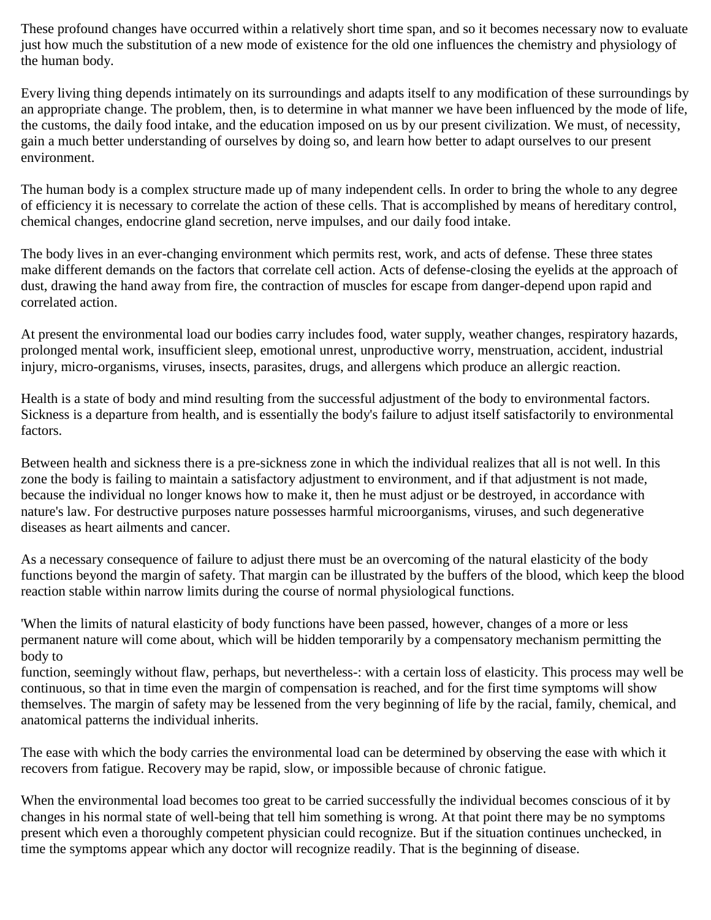These profound changes have occurred within a relatively short time span, and so it becomes necessary now to evaluate just how much the substitution of a new mode of existence for the old one influences the chemistry and physiology of the human body.

Every living thing depends intimately on its surroundings and adapts itself to any modification of these surroundings by an appropriate change. The problem, then, is to determine in what manner we have been influenced by the mode of life, the customs, the daily food intake, and the education imposed on us by our present civilization. We must, of necessity, gain a much better understanding of ourselves by doing so, and learn how better to adapt ourselves to our present environment.

The human body is a complex structure made up of many independent cells. In order to bring the whole to any degree of efficiency it is necessary to correlate the action of these cells. That is accomplished by means of hereditary control, chemical changes, endocrine gland secretion, nerve impulses, and our daily food intake.

The body lives in an ever-changing environment which permits rest, work, and acts of defense. These three states make different demands on the factors that correlate cell action. Acts of defense-closing the eyelids at the approach of dust, drawing the hand away from fire, the contraction of muscles for escape from danger-depend upon rapid and correlated action.

At present the environmental load our bodies carry includes food, water supply, weather changes, respiratory hazards, prolonged mental work, insufficient sleep, emotional unrest, unproductive worry, menstruation, accident, industrial injury, micro-organisms, viruses, insects, parasites, drugs, and allergens which produce an allergic reaction.

Health is a state of body and mind resulting from the successful adjustment of the body to environmental factors. Sickness is a departure from health, and is essentially the body's failure to adjust itself satisfactorily to environmental factors.

Between health and sickness there is a pre-sickness zone in which the individual realizes that all is not well. In this zone the body is failing to maintain a satisfactory adjustment to environment, and if that adjustment is not made, because the individual no longer knows how to make it, then he must adjust or be destroyed, in accordance with nature's law. For destructive purposes nature possesses harmful microorganisms, viruses, and such degenerative diseases as heart ailments and cancer.

As a necessary consequence of failure to adjust there must be an overcoming of the natural elasticity of the body functions beyond the margin of safety. That margin can be illustrated by the buffers of the blood, which keep the blood reaction stable within narrow limits during the course of normal physiological functions.

'When the limits of natural elasticity of body functions have been passed, however, changes of a more or less permanent nature will come about, which will be hidden temporarily by a compensatory mechanism permitting the body to

function, seemingly without flaw, perhaps, but nevertheless-: with a certain loss of elasticity. This process may well be continuous, so that in time even the margin of compensation is reached, and for the first time symptoms will show themselves. The margin of safety may be lessened from the very beginning of life by the racial, family, chemical, and anatomical patterns the individual inherits.

The ease with which the body carries the environmental load can be determined by observing the ease with which it recovers from fatigue. Recovery may be rapid, slow, or impossible because of chronic fatigue.

When the environmental load becomes too great to be carried successfully the individual becomes conscious of it by changes in his normal state of well-being that tell him something is wrong. At that point there may be no symptoms present which even a thoroughly competent physician could recognize. But if the situation continues unchecked, in time the symptoms appear which any doctor will recognize readily. That is the beginning of disease.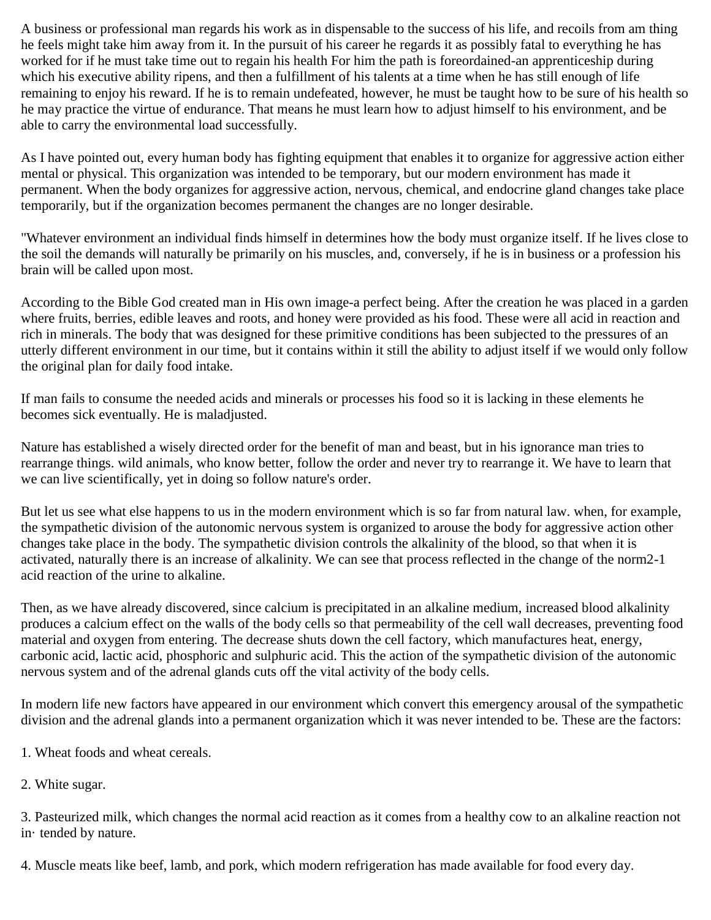A business or professional man regards his work as in dispensable to the success of his life, and recoils from am thing he feels might take him away from it. In the pursuit of his career he regards it as possibly fatal to everything he has worked for if he must take time out to regain his health For him the path is foreordained-an apprenticeship during which his executive ability ripens, and then a fulfillment of his talents at a time when he has still enough of life remaining to enjoy his reward. If he is to remain undefeated, however, he must be taught how to be sure of his health so he may practice the virtue of endurance. That means he must learn how to adjust himself to his environment, and be able to carry the environmental load successfully.

As I have pointed out, every human body has fighting equipment that enables it to organize for aggressive action either mental or physical. This organization was intended to be temporary, but our modern environment has made it permanent. When the body organizes for aggressive action, nervous, chemical, and endocrine gland changes take place temporarily, but if the organization becomes permanent the changes are no longer desirable.

"Whatever environment an individual finds himself in determines how the body must organize itself. If he lives close to the soil the demands will naturally be primarily on his muscles, and, conversely, if he is in business or a profession his brain will be called upon most.

According to the Bible God created man in His own image-a perfect being. After the creation he was placed in a garden where fruits, berries, edible leaves and roots, and honey were provided as his food. These were all acid in reaction and rich in minerals. The body that was designed for these primitive conditions has been subjected to the pressures of an utterly different environment in our time, but it contains within it still the ability to adjust itself if we would only follow the original plan for daily food intake.

If man fails to consume the needed acids and minerals or processes his food so it is lacking in these elements he becomes sick eventually. He is maladjusted.

Nature has established a wisely directed order for the benefit of man and beast, but in his ignorance man tries to rearrange things. wild animals, who know better, follow the order and never try to rearrange it. We have to learn that we can live scientifically, yet in doing so follow nature's order.

But let us see what else happens to us in the modern environment which is so far from natural law. when, for example, the sympathetic division of the autonomic nervous system is organized to arouse the body for aggressive action other changes take place in the body. The sympathetic division controls the alkalinity of the blood, so that when it is activated, naturally there is an increase of alkalinity. We can see that process reflected in the change of the norm2-1 acid reaction of the urine to alkaline.

Then, as we have already discovered, since calcium is precipitated in an alkaline medium, increased blood alkalinity produces a calcium effect on the walls of the body cells so that permeability of the cell wall decreases, preventing food material and oxygen from entering. The decrease shuts down the cell factory, which manufactures heat, energy, carbonic acid, lactic acid, phosphoric and sulphuric acid. This the action of the sympathetic division of the autonomic nervous system and of the adrenal glands cuts off the vital activity of the body cells.

In modern life new factors have appeared in our environment which convert this emergency arousal of the sympathetic division and the adrenal glands into a permanent organization which it was never intended to be. These are the factors:

- 1. Wheat foods and wheat cereals.
- 2. White sugar.

3. Pasteurized milk, which changes the normal acid reaction as it comes from a healthy cow to an alkaline reaction not in· tended by nature.

4. Muscle meats like beef, lamb, and pork, which modern refrigeration has made available for food every day.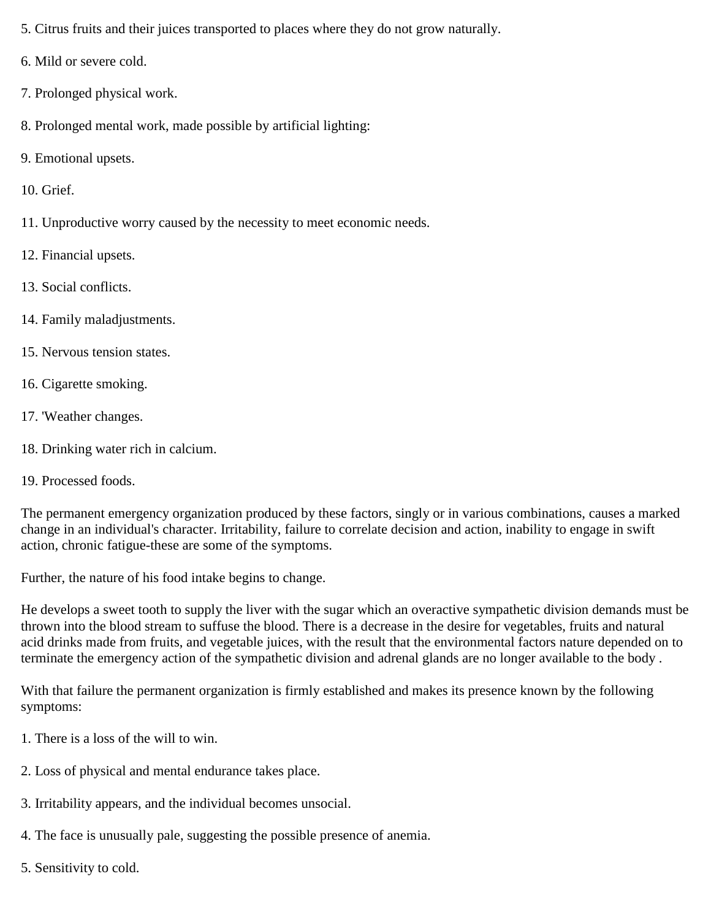- 5. Citrus fruits and their juices transported to places where they do not grow naturally.
- 6. Mild or severe cold.
- 7. Prolonged physical work.
- 8. Prolonged mental work, made possible by artificial lighting:
- 9. Emotional upsets.

#### 10. Grief.

- 11. Unproductive worry caused by the necessity to meet economic needs.
- 12. Financial upsets.
- 13. Social conflicts.
- 14. Family maladjustments.
- 15. Nervous tension states.
- 16. Cigarette smoking.
- 17. 'Weather changes.
- 18. Drinking water rich in calcium.
- 19. Processed foods.

The permanent emergency organization produced by these factors, singly or in various combinations, causes a marked change in an individual's character. Irritability, failure to correlate decision and action, inability to engage in swift action, chronic fatigue-these are some of the symptoms.

Further, the nature of his food intake begins to change.

He develops a sweet tooth to supply the liver with the sugar which an overactive sympathetic division demands must be thrown into the blood stream to suffuse the blood. There is a decrease in the desire for vegetables, fruits and natural acid drinks made from fruits, and vegetable juices, with the result that the environmental factors nature depended on to terminate the emergency action of the sympathetic division and adrenal glands are no longer available to the body .

With that failure the permanent organization is firmly established and makes its presence known by the following symptoms:

- 1. There is a loss of the will to win.
- 2. Loss of physical and mental endurance takes place.
- 3. Irritability appears, and the individual becomes unsocial.
- 4. The face is unusually pale, suggesting the possible presence of anemia.
- 5. Sensitivity to cold.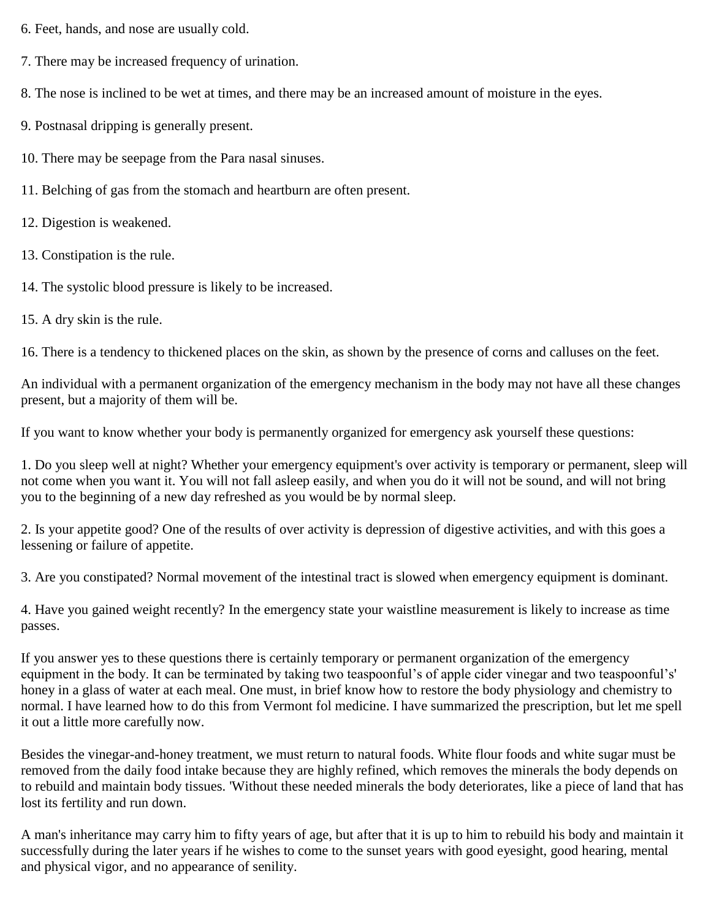- 6. Feet, hands, and nose are usually cold.
- 7. There may be increased frequency of urination.
- 8. The nose is inclined to be wet at times, and there may be an increased amount of moisture in the eyes.
- 9. Postnasal dripping is generally present.
- 10. There may be seepage from the Para nasal sinuses.
- 11. Belching of gas from the stomach and heartburn are often present.
- 12. Digestion is weakened.
- 13. Constipation is the rule.
- 14. The systolic blood pressure is likely to be increased.
- 15. A dry skin is the rule.

16. There is a tendency to thickened places on the skin, as shown by the presence of corns and calluses on the feet.

An individual with a permanent organization of the emergency mechanism in the body may not have all these changes present, but a majority of them will be.

If you want to know whether your body is permanently organized for emergency ask yourself these questions:

1. Do you sleep well at night? Whether your emergency equipment's over activity is temporary or permanent, sleep will not come when you want it. You will not fall asleep easily, and when you do it will not be sound, and will not bring you to the beginning of a new day refreshed as you would be by normal sleep.

2. Is your appetite good? One of the results of over activity is depression of digestive activities, and with this goes a lessening or failure of appetite.

3. Are you constipated? Normal movement of the intestinal tract is slowed when emergency equipment is dominant.

4. Have you gained weight recently? In the emergency state your waistline measurement is likely to increase as time passes.

If you answer yes to these questions there is certainly temporary or permanent organization of the emergency equipment in the body. It can be terminated by taking two teaspoonful's of apple cider vinegar and two teaspoonful's' honey in a glass of water at each meal. One must, in brief know how to restore the body physiology and chemistry to normal. I have learned how to do this from Vermont fol medicine. I have summarized the prescription, but let me spell it out a little more carefully now.

Besides the vinegar-and-honey treatment, we must return to natural foods. White flour foods and white sugar must be removed from the daily food intake because they are highly refined, which removes the minerals the body depends on to rebuild and maintain body tissues. 'Without these needed minerals the body deteriorates, like a piece of land that has lost its fertility and run down.

A man's inheritance may carry him to fifty years of age, but after that it is up to him to rebuild his body and maintain it successfully during the later years if he wishes to come to the sunset years with good eyesight, good hearing, mental and physical vigor, and no appearance of senility.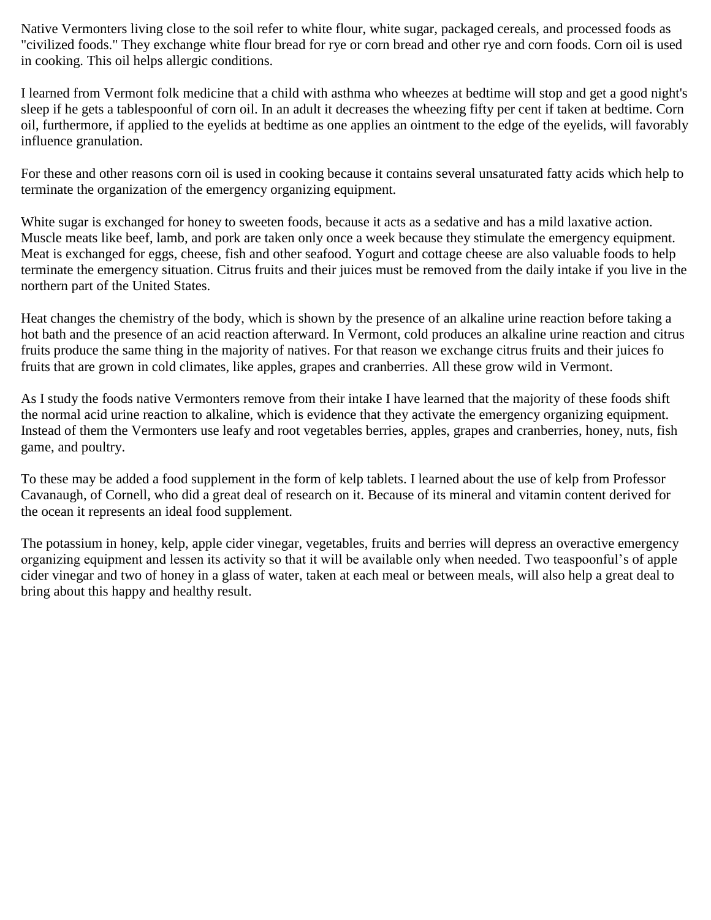Native Vermonters living close to the soil refer to white flour, white sugar, packaged cereals, and processed foods as "civilized foods." They exchange white flour bread for rye or corn bread and other rye and corn foods. Corn oil is used in cooking. This oil helps allergic conditions.

I learned from Vermont folk medicine that a child with asthma who wheezes at bedtime will stop and get a good night's sleep if he gets a tablespoonful of corn oil. In an adult it decreases the wheezing fifty per cent if taken at bedtime. Corn oil, furthermore, if applied to the eyelids at bedtime as one applies an ointment to the edge of the eyelids, will favorably influence granulation.

For these and other reasons corn oil is used in cooking because it contains several unsaturated fatty acids which help to terminate the organization of the emergency organizing equipment.

White sugar is exchanged for honey to sweeten foods, because it acts as a sedative and has a mild laxative action. Muscle meats like beef, lamb, and pork are taken only once a week because they stimulate the emergency equipment. Meat is exchanged for eggs, cheese, fish and other seafood. Yogurt and cottage cheese are also valuable foods to help terminate the emergency situation. Citrus fruits and their juices must be removed from the daily intake if you live in the northern part of the United States.

Heat changes the chemistry of the body, which is shown by the presence of an alkaline urine reaction before taking a hot bath and the presence of an acid reaction afterward. In Vermont, cold produces an alkaline urine reaction and citrus fruits produce the same thing in the majority of natives. For that reason we exchange citrus fruits and their juices fo fruits that are grown in cold climates, like apples, grapes and cranberries. All these grow wild in Vermont.

As I study the foods native Vermonters remove from their intake I have learned that the majority of these foods shift the normal acid urine reaction to alkaline, which is evidence that they activate the emergency organizing equipment. Instead of them the Vermonters use leafy and root vegetables berries, apples, grapes and cranberries, honey, nuts, fish game, and poultry.

To these may be added a food supplement in the form of kelp tablets. I learned about the use of kelp from Professor Cavanaugh, of Cornell, who did a great deal of research on it. Because of its mineral and vitamin content derived for the ocean it represents an ideal food supplement.

The potassium in honey, kelp, apple cider vinegar, vegetables, fruits and berries will depress an overactive emergency organizing equipment and lessen its activity so that it will be available only when needed. Two teaspoonful's of apple cider vinegar and two of honey in a glass of water, taken at each meal or between meals, will also help a great deal to bring about this happy and healthy result.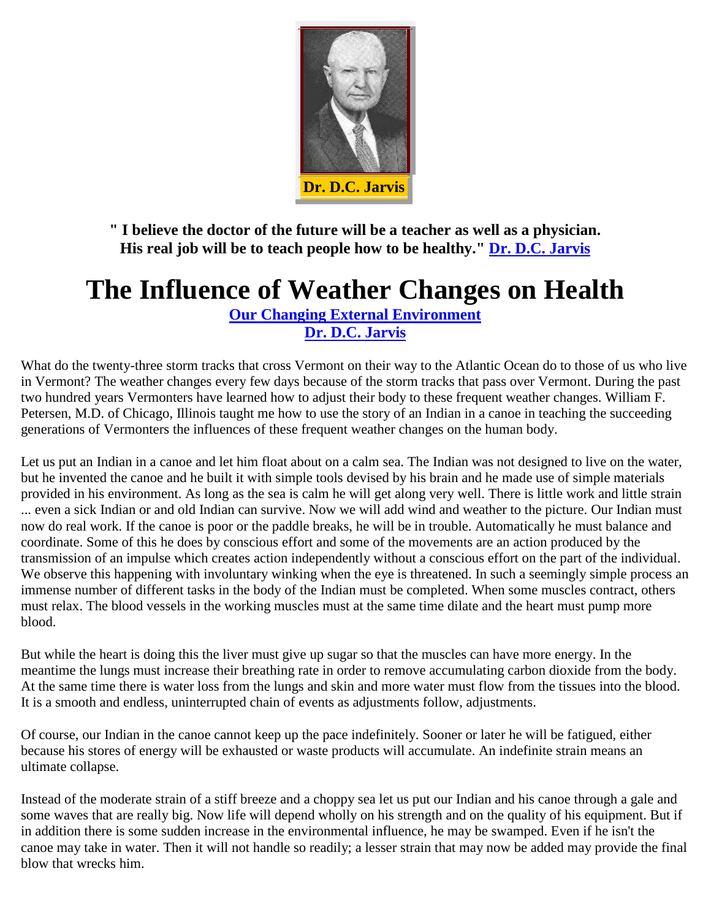

### **" I believe the doctor of the future will be a teacher as well as a physician. His real job will be to teach people how to be healthy." [Dr. D.C. Jarvis](http://www.jcrows.com/jarvis.html)**

# **The Influence of Weather Changes on Health**

**[Our Changing External Environment](http://www.jcrows.com/jarvisenvironment.html) [Dr. D.C. Jarvis](http://www.jcrows.com/jarvisbio.html)**

What do the twenty-three storm tracks that cross Vermont on their way to the Atlantic Ocean do to those of us who live in Vermont? The weather changes every few days because of the storm tracks that pass over Vermont. During the past two hundred years Vermonters have learned how to adjust their body to these frequent weather changes. William F. Petersen, M.D. of Chicago, Illinois taught me how to use the story of an Indian in a canoe in teaching the succeeding generations of Vermonters the influences of these frequent weather changes on the human body.

Let us put an Indian in a canoe and let him float about on a calm sea. The Indian was not designed to live on the water, but he invented the canoe and he built it with simple tools devised by his brain and he made use of simple materials provided in his environment. As long as the sea is calm he will get along very well. There is little work and little strain ... even a sick Indian or and old Indian can survive. Now we will add wind and weather to the picture. Our Indian must now do real work. If the canoe is poor or the paddle breaks, he will be in trouble. Automatically he must balance and coordinate. Some of this he does by conscious effort and some of the movements are an action produced by the transmission of an impulse which creates action independently without a conscious effort on the part of the individual. We observe this happening with involuntary winking when the eye is threatened. In such a seemingly simple process an immense number of different tasks in the body of the Indian must be completed. When some muscles contract, others must relax. The blood vessels in the working muscles must at the same time dilate and the heart must pump more blood.

But while the heart is doing this the liver must give up sugar so that the muscles can have more energy. In the meantime the lungs must increase their breathing rate in order to remove accumulating carbon dioxide from the body. At the same time there is water loss from the lungs and skin and more water must flow from the tissues into the blood. It is a smooth and endless, uninterrupted chain of events as adjustments follow, adjustments.

Of course, our Indian in the canoe cannot keep up the pace indefinitely. Sooner or later he will be fatigued, either because his stores of energy will be exhausted or waste products will accumulate. An indefinite strain means an ultimate collapse.

Instead of the moderate strain of a stiff breeze and a choppy sea let us put our Indian and his canoe through a gale and some waves that are really big. Now life will depend wholly on his strength and on the quality of his equipment. But if in addition there is some sudden increase in the environmental influence, he may be swamped. Even if he isn't the canoe may take in water. Then it will not handle so readily; a lesser strain that may now be added may provide the final blow that wrecks him.